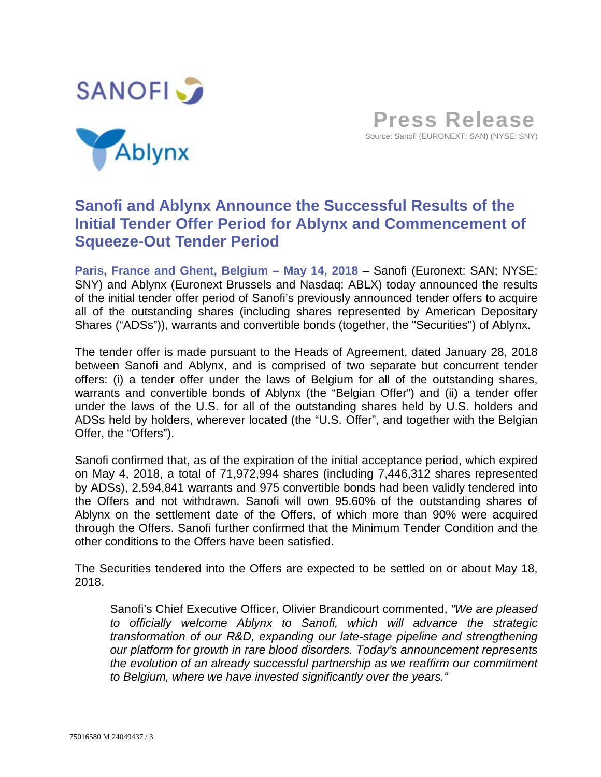





**Paris, France and Ghent, Belgium – May 14, 2018** – Sanofi (Euronext: SAN; NYSE: SNY) and Ablynx (Euronext Brussels and Nasdaq: ABLX) today announced the results of the initial tender offer period of Sanofi's previously announced tender offers to acquire all of the outstanding shares (including shares represented by American Depositary Shares ("ADSs")), warrants and convertible bonds (together, the "Securities") of Ablynx.

The tender offer is made pursuant to the Heads of Agreement, dated January 28, 2018 between Sanofi and Ablynx, and is comprised of two separate but concurrent tender offers: (i) a tender offer under the laws of Belgium for all of the outstanding shares, warrants and convertible bonds of Ablynx (the "Belgian Offer") and (ii) a tender offer under the laws of the U.S. for all of the outstanding shares held by U.S. holders and ADSs held by holders, wherever located (the "U.S. Offer", and together with the Belgian Offer, the "Offers").

Sanofi confirmed that, as of the expiration of the initial acceptance period, which expired on May 4, 2018, a total of 71,972,994 shares (including 7,446,312 shares represented by ADSs), 2,594,841 warrants and 975 convertible bonds had been validly tendered into the Offers and not withdrawn. Sanofi will own 95.60% of the outstanding shares of Ablynx on the settlement date of the Offers, of which more than 90% were acquired through the Offers. Sanofi further confirmed that the Minimum Tender Condition and the other conditions to the Offers have been satisfied.

The Securities tendered into the Offers are expected to be settled on or about May 18, 2018.

Sanofi's Chief Executive Officer, Olivier Brandicourt commented, *"We are pleased to officially welcome Ablynx to Sanofi, which will advance the strategic transformation of our R&D, expanding our late-stage pipeline and strengthening our platform for growth in rare blood disorders. Today's announcement represents the evolution of an already successful partnership as we reaffirm our commitment to Belgium, where we have invested significantly over the years."*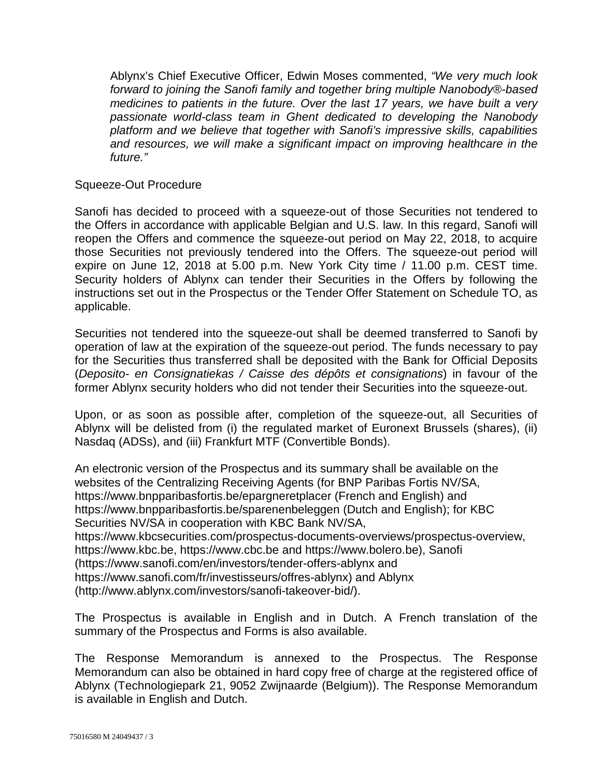Ablynx's Chief Executive Officer, Edwin Moses commented, *"We very much look forward to joining the Sanofi family and together bring multiple Nanobody®-based medicines to patients in the future. Over the last 17 years, we have built a very passionate world-class team in Ghent dedicated to developing the Nanobody platform and we believe that together with Sanofi's impressive skills, capabilities and resources, we will make a significant impact on improving healthcare in the future."*

# Squeeze-Out Procedure

Sanofi has decided to proceed with a squeeze-out of those Securities not tendered to the Offers in accordance with applicable Belgian and U.S. law. In this regard, Sanofi will reopen the Offers and commence the squeeze-out period on May 22, 2018, to acquire those Securities not previously tendered into the Offers. The squeeze-out period will expire on June 12, 2018 at 5.00 p.m. New York City time / 11.00 p.m. CEST time. Security holders of Ablynx can tender their Securities in the Offers by following the instructions set out in the Prospectus or the Tender Offer Statement on Schedule TO, as applicable.

Securities not tendered into the squeeze-out shall be deemed transferred to Sanofi by operation of law at the expiration of the squeeze-out period. The funds necessary to pay for the Securities thus transferred shall be deposited with the Bank for Official Deposits (*Deposito- en Consignatiekas / Caisse des dépôts et consignations*) in favour of the former Ablynx security holders who did not tender their Securities into the squeeze-out.

Upon, or as soon as possible after, completion of the squeeze-out, all Securities of Ablynx will be delisted from (i) the regulated market of Euronext Brussels (shares), (ii) Nasdaq (ADSs), and (iii) Frankfurt MTF (Convertible Bonds).

An electronic version of the Prospectus and its summary shall be available on the websites of the Centralizing Receiving Agents (for BNP Paribas Fortis NV/SA, https://www.bnpparibasfortis.be/epargneretplacer (French and English) and https://www.bnpparibasfortis.be/sparenenbeleggen (Dutch and English); for KBC Securities NV/SA in cooperation with KBC Bank NV/SA, https://www.kbcsecurities.com/prospectus-documents-overviews/prospectus-overview, https://www.kbc.be, https://www.cbc.be and https://www.bolero.be), Sanofi (https://www.sanofi.com/en/investors/tender-offers-ablynx and https://www.sanofi.com/fr/investisseurs/offres-ablynx) and Ablynx (http://www.ablynx.com/investors/sanofi-takeover-bid/).

The Prospectus is available in English and in Dutch. A French translation of the summary of the Prospectus and Forms is also available.

The Response Memorandum is annexed to the Prospectus. The Response Memorandum can also be obtained in hard copy free of charge at the registered office of Ablynx (Technologiepark 21, 9052 Zwijnaarde (Belgium)). The Response Memorandum is available in English and Dutch.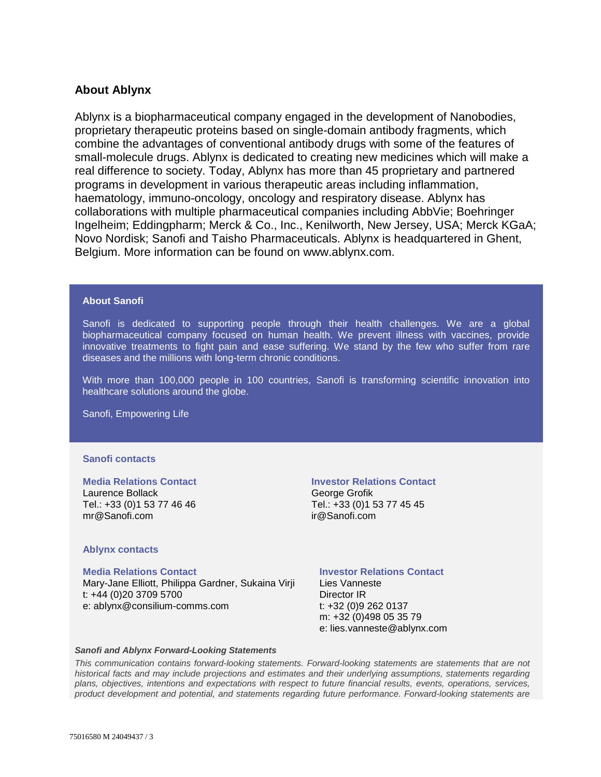# **About Ablynx**

Ablynx is a biopharmaceutical company engaged in the development of Nanobodies, proprietary therapeutic proteins based on single-domain antibody fragments, which combine the advantages of conventional antibody drugs with some of the features of small-molecule drugs. Ablynx is dedicated to creating new medicines which will make a real difference to society. Today, Ablynx has more than 45 proprietary and partnered programs in development in various therapeutic areas including inflammation, haematology, immuno-oncology, oncology and respiratory disease. Ablynx has collaborations with multiple pharmaceutical companies including AbbVie; Boehringer Ingelheim; Eddingpharm; Merck & Co., Inc., Kenilworth, New Jersey, USA; Merck KGaA; Novo Nordisk; Sanofi and Taisho Pharmaceuticals. Ablynx is headquartered in Ghent, Belgium. More information can be found on www.ablynx.com.

## **About Sanofi**

Sanofi is dedicated to supporting people through their health challenges. We are a global biopharmaceutical company focused on human health. We prevent illness with vaccines, provide innovative treatments to fight pain and ease suffering. We stand by the few who suffer from rare diseases and the millions with long-term chronic conditions.

With more than 100,000 people in 100 countries, Sanofi is transforming scientific innovation into healthcare solutions around the globe.

Sanofi, Empowering Life

### **Sanofi contacts**

### **Media Relations Contact**

Laurence Bollack Tel.: +33 (0)1 53 77 46 46 mr@Sanofi.com

## **Investor Relations Contact**

George Grofik Tel.: +33 (0)1 53 77 45 45 ir@Sanofi.com

### **Ablynx contacts**

#### **Media Relations Contact**

Mary-Jane Elliott, Philippa Gardner, Sukaina Virji t: +44 (0)20 3709 5700 e: ablynx@consilium-comms.com

## **Investor Relations Contact**

Lies Vanneste Director IR t: +32 (0)9 262 0137 m: +32 (0)498 05 35 79 e: lies.vanneste@ablynx.com

#### *Sanofi and Ablynx Forward-Looking Statements*

*This communication contains forward-looking statements. Forward-looking statements are statements that are not historical facts and may include projections and estimates and their underlying assumptions, statements regarding plans, objectives, intentions and expectations with respect to future financial results, events, operations, services, product development and potential, and statements regarding future performance. Forward-looking statements are*